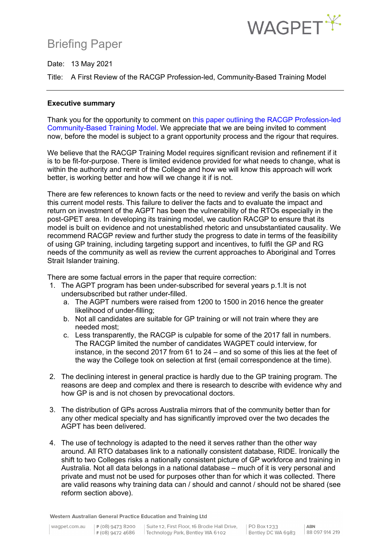## Briefing Paper



Date: 13 May 2021

Title: A First Review of the RACGP Profession-led, Community-Based Training Model

### **Executive summary**

Thank you for the opportunity to comment on this paper [outlining the RACGP Profession-led](https://www.racgp.org.au/FSDEDEV/media/documents/Education/RACGP-profession-led-community-based-training.pdf) Community-Based Training Model. We appreciate that we are being invited to comment now, before the model is subject to a grant opportunity process and the rigour that requires.

We believe that the RACGP Training Model requires significant revision and refinement if it is to be fit-for-purpose. There is limited evidence provided for what needs to change, what is within the authority and remit of the College and how we will know this approach will work better, is working better and how will we change it if is not.

There are few references to known facts or the need to review and verify the basis on which this current model rests. This failure to deliver the facts and to evaluate the impact and return on investment of the AGPT has been the vulnerability of the RTOs especially in the post-GPET area. In developing its training model, we caution RACGP to ensure that its model is built on evidence and not unestablished rhetoric and unsubstantiated causality. We recommend RACGP review and further study the progress to date in terms of the feasibility of using GP training, including targeting support and incentives, to fulfil the GP and RG needs of the community as well as review the current approaches to Aboriginal and Torres Strait Islander training.

There are some factual errors in the paper that require correction:

- 1. The AGPT program has been under-subscribed for several years p.1.It is not undersubscribed but rather under-filled.
	- a. The AGPT numbers were raised from 1200 to 1500 in 2016 hence the greater likelihood of under-filling;
	- b. Not all candidates are suitable for GP training or will not train where they are needed most;
	- c. Less transparently, the RACGP is culpable for some of the 2017 fall in numbers. The RACGP limited the number of candidates WAGPET could interview, for instance, in the second 2017 from 61 to 24 – and so some of this lies at the feet of the way the College took on selection at first (email correspondence at the time).
- 2. The declining interest in general practice is hardly due to the GP training program. The reasons are deep and complex and there is research to describe with evidence why and how GP is and is not chosen by prevocational doctors.
- 3. The distribution of GPs across Australia mirrors that of the community better than for any other medical specialty and has significantly improved over the two decades the AGPT has been delivered.
- 4. The use of technology is adapted to the need it serves rather than the other way around. All RTO databases link to a nationally consistent database, RIDE. Ironically the shift to two Colleges risks a nationally consistent picture of GP workforce and training in Australia. Not all data belongs in a national database – much of it is very personal and private and must not be used for purposes other than for which it was collected. There are valid reasons why training data can / should and cannot / should not be shared (see reform section above).

Western Australian General Practice Education and Training Ltd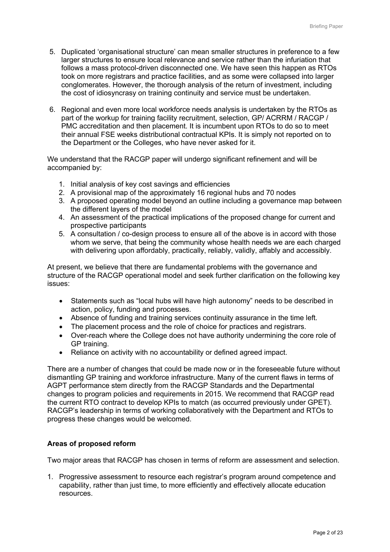- 5. Duplicated 'organisational structure' can mean smaller structures in preference to a few larger structures to ensure local relevance and service rather than the infuriation that follows a mass protocol-driven disconnected one. We have seen this happen as RTOs took on more registrars and practice facilities, and as some were collapsed into larger conglomerates. However, the thorough analysis of the return of investment, including the cost of idiosyncrasy on training continuity and service must be undertaken.
- 6. Regional and even more local workforce needs analysis is undertaken by the RTOs as part of the workup for training facility recruitment, selection, GP/ ACRRM / RACGP / PMC accreditation and then placement. It is incumbent upon RTOs to do so to meet their annual FSE weeks distributional contractual KPIs. It is simply not reported on to the Department or the Colleges, who have never asked for it.

We understand that the RACGP paper will undergo significant refinement and will be accompanied by:

- 1. Initial analysis of key cost savings and efficiencies
- 2. A provisional map of the approximately 16 regional hubs and 70 nodes
- 3. A proposed operating model beyond an outline including a governance map between the different layers of the model
- 4. An assessment of the practical implications of the proposed change for current and prospective participants
- 5. A consultation / co-design process to ensure all of the above is in accord with those whom we serve, that being the community whose health needs we are each charged with delivering upon affordably, practically, reliably, validly, affably and accessibly.

At present, we believe that there are fundamental problems with the governance and structure of the RACGP operational model and seek further clarification on the following key issues:

- Statements such as "local hubs will have high autonomy" needs to be described in action, policy, funding and processes.
- Absence of funding and training services continuity assurance in the time left.
- The placement process and the role of choice for practices and registrars.
- Over-reach where the College does not have authority undermining the core role of GP training.
- Reliance on activity with no accountability or defined agreed impact.

There are a number of changes that could be made now or in the foreseeable future without dismantling GP training and workforce infrastructure. Many of the current flaws in terms of AGPT performance stem directly from the RACGP Standards and the Departmental changes to program policies and requirements in 2015. We recommend that RACGP read the current RTO contract to develop KPIs to match (as occurred previously under GPET). RACGP's leadership in terms of working collaboratively with the Department and RTOs to progress these changes would be welcomed.

## **Areas of proposed reform**

Two major areas that RACGP has chosen in terms of reform are assessment and selection.

1. Progressive assessment to resource each registrar's program around competence and capability, rather than just time, to more efficiently and effectively allocate education resources.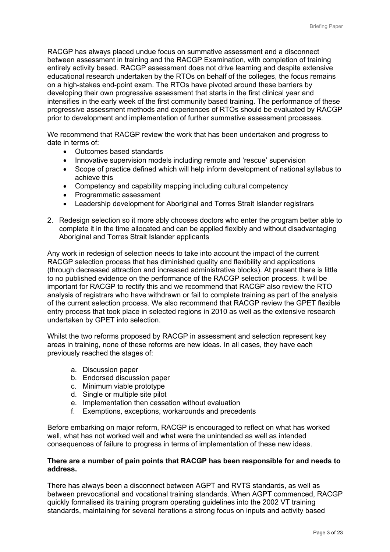RACGP has always placed undue focus on summative assessment and a disconnect between assessment in training and the RACGP Examination, with completion of training entirely activity based. RACGP assessment does not drive learning and despite extensive educational research undertaken by the RTOs on behalf of the colleges, the focus remains on a high-stakes end-point exam. The RTOs have pivoted around these barriers by developing their own progressive assessment that starts in the first clinical year and intensifies in the early week of the first community based training. The performance of these progressive assessment methods and experiences of RTOs should be evaluated by RACGP prior to development and implementation of further summative assessment processes.

We recommend that RACGP review the work that has been undertaken and progress to date in terms of:

- Outcomes based standards
- Innovative supervision models including remote and 'rescue' supervision
- Scope of practice defined which will help inform development of national syllabus to achieve this
- Competency and capability mapping including cultural competency
- Programmatic assessment
- Leadership development for Aboriginal and Torres Strait Islander registrars
- 2. Redesign selection so it more ably chooses doctors who enter the program better able to complete it in the time allocated and can be applied flexibly and without disadvantaging Aboriginal and Torres Strait Islander applicants

Any work in redesign of selection needs to take into account the impact of the current RACGP selection process that has diminished quality and flexibility and applications (through decreased attraction and increased administrative blocks). At present there is little to no published evidence on the performance of the RACGP selection process. It will be important for RACGP to rectify this and we recommend that RACGP also review the RTO analysis of registrars who have withdrawn or fail to complete training as part of the analysis of the current selection process. We also recommend that RACGP review the GPET flexible entry process that took place in selected regions in 2010 as well as the extensive research undertaken by GPET into selection.

Whilst the two reforms proposed by RACGP in assessment and selection represent key areas in training, none of these reforms are new ideas. In all cases, they have each previously reached the stages of:

- a. Discussion paper
- b. Endorsed discussion paper
- c. Minimum viable prototype
- d. Single or multiple site pilot
- e. Implementation then cessation without evaluation
- f. Exemptions, exceptions, workarounds and precedents

Before embarking on major reform, RACGP is encouraged to reflect on what has worked well, what has not worked well and what were the unintended as well as intended consequences of failure to progress in terms of implementation of these new ideas.

### **There are a number of pain points that RACGP has been responsible for and needs to address.**

There has always been a disconnect between AGPT and RVTS standards, as well as between prevocational and vocational training standards. When AGPT commenced, RACGP quickly formalised its training program operating guidelines into the 2002 VT training standards, maintaining for several iterations a strong focus on inputs and activity based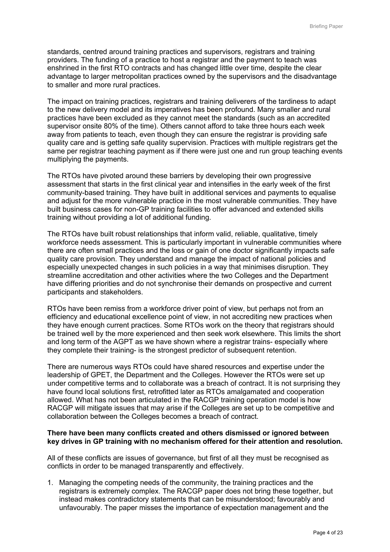standards, centred around training practices and supervisors, registrars and training providers. The funding of a practice to host a registrar and the payment to teach was enshrined in the first RTO contracts and has changed little over time, despite the clear advantage to larger metropolitan practices owned by the supervisors and the disadvantage to smaller and more rural practices.

The impact on training practices, registrars and training deliverers of the tardiness to adapt to the new delivery model and its imperatives has been profound. Many smaller and rural practices have been excluded as they cannot meet the standards (such as an accredited supervisor onsite 80% of the time). Others cannot afford to take three hours each week away from patients to teach, even though they can ensure the registrar is providing safe quality care and is getting safe quality supervision. Practices with multiple registrars get the same per registrar teaching payment as if there were just one and run group teaching events multiplying the payments.

The RTOs have pivoted around these barriers by developing their own progressive assessment that starts in the first clinical year and intensifies in the early week of the first community-based training. They have built in additional services and payments to equalise and adjust for the more vulnerable practice in the most vulnerable communities. They have built business cases for non-GP training facilities to offer advanced and extended skills training without providing a lot of additional funding.

The RTOs have built robust relationships that inform valid, reliable, qualitative, timely workforce needs assessment. This is particularly important in vulnerable communities where there are often small practices and the loss or gain of one doctor significantly impacts safe quality care provision. They understand and manage the impact of national policies and especially unexpected changes in such policies in a way that minimises disruption. They streamline accreditation and other activities where the two Colleges and the Department have differing priorities and do not synchronise their demands on prospective and current participants and stakeholders.

RTOs have been remiss from a workforce driver point of view, but perhaps not from an efficiency and educational excellence point of view, in not accrediting new practices when they have enough current practices. Some RTOs work on the theory that registrars should be trained well by the more experienced and then seek work elsewhere. This limits the short and long term of the AGPT as we have shown where a registrar trains- especially where they complete their training- is the strongest predictor of subsequent retention.

There are numerous ways RTOs could have shared resources and expertise under the leadership of GPET, the Department and the Colleges. However the RTOs were set up under competitive terms and to collaborate was a breach of contract. It is not surprising they have found local solutions first, retrofitted later as RTOs amalgamated and cooperation allowed. What has not been articulated in the RACGP training operation model is how RACGP will mitigate issues that may arise if the Colleges are set up to be competitive and collaboration between the Colleges becomes a breach of contract.

#### **There have been many conflicts created and others dismissed or ignored between key drives in GP training with no mechanism offered for their attention and resolution.**

All of these conflicts are issues of governance, but first of all they must be recognised as conflicts in order to be managed transparently and effectively.

1. Managing the competing needs of the community, the training practices and the registrars is extremely complex. The RACGP paper does not bring these together, but instead makes contradictory statements that can be misunderstood; favourably and unfavourably. The paper misses the importance of expectation management and the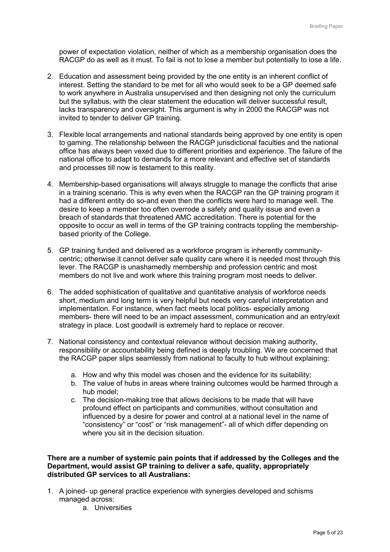power of expectation violation, neither of which as a membership organisation does the RACGP do as well as it must. To fail is not to lose a member but potentially to lose a life.

- 2. Education and assessment being provided by the one entity is an inherent conflict of interest. Setting the standard to be met for all who would seek to be a GP deemed safe to work anywhere in Australia unsupervised and then designing not only the curriculum but the syllabus, with the clear statement the education will deliver successful result, lacks transparency and oversight. This argument is why in 2000 the RACGP was not invited to tender to deliver GP training.
- 3. Flexible local arrangements and national standards being approved by one entity is open to gaming. The relationship between the RACGP jurisdictional faculties and the national office has always been vexed due to different priorities and experience. The failure of the national office to adapt to demands for a more relevant and effective set of standards and processes till now is testament to this reality.
- 4. Membership-based organisations will always struggle to manage the conflicts that arise in a training scenario. This is why even when the RACGP ran the GP training program it had a different entity do so-and even then the conflicts were hard to manage well. The desire to keep a member too often overrode a safety and quality issue and even a breach of standards that threatened AMC accreditation. There is potential for the opposite to occur as well in terms of the GP training contracts toppling the membershipbased priority of the College.
- 5. GP training funded and delivered as a workforce program is inherently communitycentric; otherwise it cannot deliver safe quality care where it is needed most through this lever. The RACGP is unashamedly membership and profession centric and most members do not live and work where this training program most needs to deliver.
- 6. The added sophistication of qualitative and quantitative analysis of workforce needs short, medium and long term is very helpful but needs very careful interpretation and implementation. For instance, when fact meets local politics- especially among members- there will need to be an impact assessment, communication and an entry/exit strategy in place. Lost goodwill is extremely hard to replace or recover.
- 7. National consistency and contextual relevance without decision making authority, responsibility or accountability being defined is deeply troubling. We are concerned that the RACGP paper slips seamlessly from national to faculty to hub without explaining:
	- a. How and why this model was chosen and the evidence for its suitability;
	- b. The value of hubs in areas where training outcomes would be harmed through a hub model;
	- c. The decision-making tree that allows decisions to be made that will have profound effect on participants and communities, without consultation and influenced by a desire for power and control at a national level in the name of "consistency" or "cost" or "risk management"- all of which differ depending on where you sit in the decision situation.

### **There are a number of systemic pain points that if addressed by the Colleges and the Department, would assist GP training to deliver a safe, quality, appropriately distributed GP services to all Australians:**

- 1. A joined- up general practice experience with synergies developed and schisms managed across:
	- a. Universities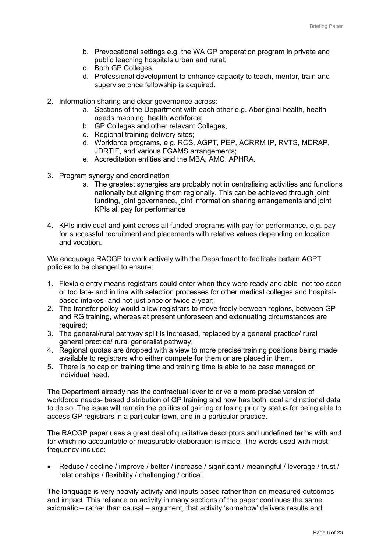- b. Prevocational settings e.g. the WA GP preparation program in private and public teaching hospitals urban and rural;
- c. Both GP Colleges
- d. Professional development to enhance capacity to teach, mentor, train and supervise once fellowship is acquired.
- 2. Information sharing and clear governance across:
	- a. Sections of the Department with each other e.g. Aboriginal health, health needs mapping, health workforce;
	- b. GP Colleges and other relevant Colleges;
	- c. Regional training delivery sites;
	- d. Workforce programs, e.g. RCS, AGPT, PEP, ACRRM IP, RVTS, MDRAP, JDRTIF, and various FGAMS arrangements;
	- e. Accreditation entities and the MBA, AMC, APHRA.
- 3. Program synergy and coordination
	- a. The greatest synergies are probably not in centralising activities and functions nationally but aligning them regionally. This can be achieved through joint funding, joint governance, joint information sharing arrangements and joint KPIs all pay for performance
- 4. KPIs individual and joint across all funded programs with pay for performance, e.g. pay for successful recruitment and placements with relative values depending on location and vocation.

We encourage RACGP to work actively with the Department to facilitate certain AGPT policies to be changed to ensure;

- 1. Flexible entry means registrars could enter when they were ready and able- not too soon or too late- and in line with selection processes for other medical colleges and hospitalbased intakes- and not just once or twice a year;
- 2. The transfer policy would allow registrars to move freely between regions, between GP and RG training, whereas at present unforeseen and extenuating circumstances are required;
- 3. The general/rural pathway split is increased, replaced by a general practice/ rural general practice/ rural generalist pathway;
- 4. Regional quotas are dropped with a view to more precise training positions being made available to registrars who either compete for them or are placed in them.
- 5. There is no cap on training time and training time is able to be case managed on individual need.

The Department already has the contractual lever to drive a more precise version of workforce needs- based distribution of GP training and now has both local and national data to do so. The issue will remain the politics of gaining or losing priority status for being able to access GP registrars in a particular town, and in a particular practice.

The RACGP paper uses a great deal of qualitative descriptors and undefined terms with and for which no accountable or measurable elaboration is made. The words used with most frequency include:

• Reduce / decline / improve / better / increase / significant / meaningful / leverage / trust / relationships / flexibility / challenging / critical.

The language is very heavily activity and inputs based rather than on measured outcomes and impact. This reliance on activity in many sections of the paper continues the same axiomatic – rather than causal – argument, that activity 'somehow' delivers results and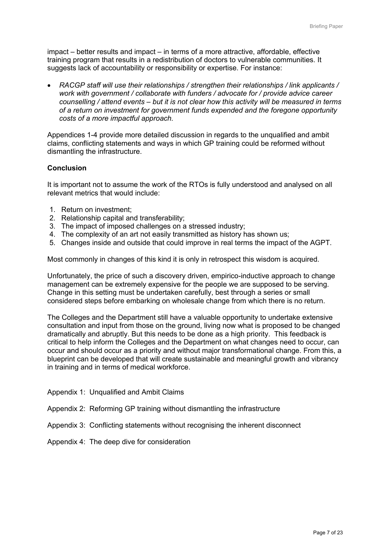impact – better results and impact – in terms of a more attractive, affordable, effective training program that results in a redistribution of doctors to vulnerable communities. It suggests lack of accountability or responsibility or expertise. For instance:

• *RACGP staff will use their relationships / strengthen their relationships / link applicants / work with government / collaborate with funders / advocate for / provide advice career counselling / attend events – but it is not clear how this activity will be measured in terms of a return on investment for government funds expended and the foregone opportunity costs of a more impactful approach.*

Appendices 1-4 provide more detailed discussion in regards to the unqualified and ambit claims, conflicting statements and ways in which GP training could be reformed without dismantling the infrastructure.

### **Conclusion**

It is important not to assume the work of the RTOs is fully understood and analysed on all relevant metrics that would include:

- 1. Return on investment;
- 2. Relationship capital and transferability;
- 3. The impact of imposed challenges on a stressed industry;
- 4. The complexity of an art not easily transmitted as history has shown us;
- 5. Changes inside and outside that could improve in real terms the impact of the AGPT.

Most commonly in changes of this kind it is only in retrospect this wisdom is acquired.

Unfortunately, the price of such a discovery driven, empirico-inductive approach to change management can be extremely expensive for the people we are supposed to be serving. Change in this setting must be undertaken carefully, best through a series or small considered steps before embarking on wholesale change from which there is no return.

The Colleges and the Department still have a valuable opportunity to undertake extensive consultation and input from those on the ground, living now what is proposed to be changed dramatically and abruptly. But this needs to be done as a high priority. This feedback is critical to help inform the Colleges and the Department on what changes need to occur, can occur and should occur as a priority and without major transformational change. From this, a blueprint can be developed that will create sustainable and meaningful growth and vibrancy in training and in terms of medical workforce.

- Appendix 1: Unqualified and Ambit Claims
- Appendix 2: Reforming GP training without dismantling the infrastructure
- Appendix 3: Conflicting statements without recognising the inherent disconnect
- Appendix 4: The deep dive for consideration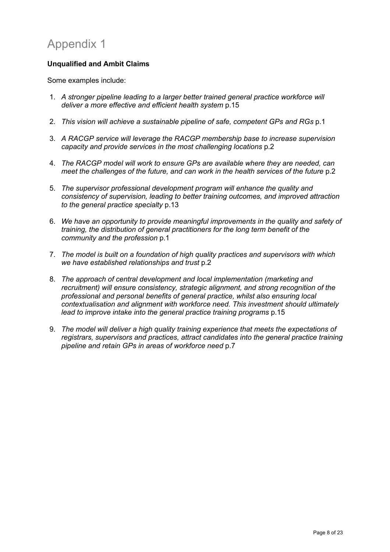# Appendix 1

## **Unqualified and Ambit Claims**

Some examples include:

- 1. *A stronger pipeline leading to a larger better trained general practice workforce will deliver a more effective and efficient health system* p.15
- 2. *This vision will achieve a sustainable pipeline of safe, competent GPs and RGs* p.1
- 3. *A RACGP service will leverage the RACGP membership base to increase supervision capacity and provide services in the most challenging locations* p.2
- 4. *The RACGP model will work to ensure GPs are available where they are needed, can meet the challenges of the future, and can work in the health services of the future p.2*
- 5. *The supervisor professional development program will enhance the quality and consistency of supervision, leading to better training outcomes, and improved attraction to the general practice specialty* p.13
- 6. *We have an opportunity to provide meaningful improvements in the quality and safety of training, the distribution of general practitioners for the long term benefit of the community and the profession* p.1
- 7. *The model is built on a foundation of high quality practices and supervisors with which we have established relationships and trust* p.2
- 8. *The approach of central development and local implementation (marketing and recruitment) will ensure consistency, strategic alignment, and strong recognition of the professional and personal benefits of general practice, whilst also ensuring local contextualisation and alignment with workforce need. This investment should ultimately lead to improve intake into the general practice training programs* p.15
- 9. *The model will deliver a high quality training experience that meets the expectations of registrars, supervisors and practices, attract candidates into the general practice training pipeline and retain GPs in areas of workforce need* p.7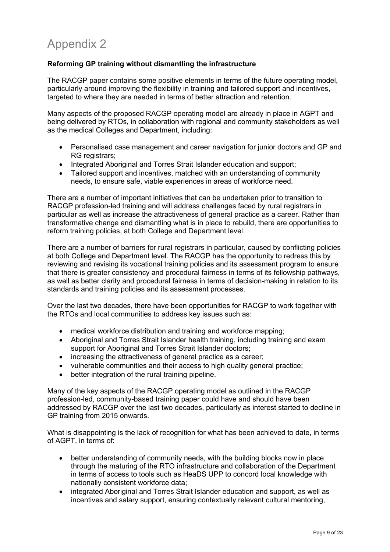## **Reforming GP training without dismantling the infrastructure**

The RACGP paper contains some positive elements in terms of the future operating model, particularly around improving the flexibility in training and tailored support and incentives, targeted to where they are needed in terms of better attraction and retention.

Many aspects of the proposed RACGP operating model are already in place in AGPT and being delivered by RTOs, in collaboration with regional and community stakeholders as well as the medical Colleges and Department, including:

- Personalised case management and career navigation for junior doctors and GP and RG registrars:
- Integrated Aboriginal and Torres Strait Islander education and support;
- Tailored support and incentives, matched with an understanding of community needs, to ensure safe, viable experiences in areas of workforce need.

There are a number of important initiatives that can be undertaken prior to transition to RACGP profession-led training and will address challenges faced by rural registrars in particular as well as increase the attractiveness of general practice as a career. Rather than transformative change and dismantling what is in place to rebuild, there are opportunities to reform training policies, at both College and Department level.

There are a number of barriers for rural registrars in particular, caused by conflicting policies at both College and Department level. The RACGP has the opportunity to redress this by reviewing and revising its vocational training policies and its assessment program to ensure that there is greater consistency and procedural fairness in terms of its fellowship pathways, as well as better clarity and procedural fairness in terms of decision-making in relation to its standards and training policies and its assessment processes.

Over the last two decades, there have been opportunities for RACGP to work together with the RTOs and local communities to address key issues such as:

- medical workforce distribution and training and workforce mapping;
- Aboriginal and Torres Strait Islander health training, including training and exam support for Aboriginal and Torres Strait Islander doctors;
- increasing the attractiveness of general practice as a career;
- vulnerable communities and their access to high quality general practice;
- better integration of the rural training pipeline.

Many of the key aspects of the RACGP operating model as outlined in the RACGP profession-led, community-based training paper could have and should have been addressed by RACGP over the last two decades, particularly as interest started to decline in GP training from 2015 onwards.

What is disappointing is the lack of recognition for what has been achieved to date, in terms of AGPT, in terms of:

- better understanding of community needs, with the building blocks now in place through the maturing of the RTO infrastructure and collaboration of the Department in terms of access to tools such as HeaDS UPP to concord local knowledge with nationally consistent workforce data;
- integrated Aboriginal and Torres Strait Islander education and support, as well as incentives and salary support, ensuring contextually relevant cultural mentoring,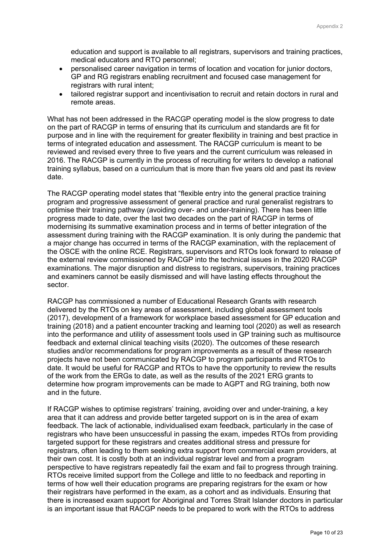education and support is available to all registrars, supervisors and training practices, medical educators and RTO personnel;

- personalised career navigation in terms of location and vocation for junior doctors, GP and RG registrars enabling recruitment and focused case management for registrars with rural intent;
- tailored registrar support and incentivisation to recruit and retain doctors in rural and remote areas.

What has not been addressed in the RACGP operating model is the slow progress to date on the part of RACGP in terms of ensuring that its curriculum and standards are fit for purpose and in line with the requirement for greater flexibility in training and best practice in terms of integrated education and assessment. The RACGP curriculum is meant to be reviewed and revised every three to five years and the current curriculum was released in 2016. The RACGP is currently in the process of recruiting for writers to develop a national training syllabus, based on a curriculum that is more than five years old and past its review date.

The RACGP operating model states that "flexible entry into the general practice training program and progressive assessment of general practice and rural generalist registrars to optimise their training pathway (avoiding over- and under-training). There has been little progress made to date, over the last two decades on the part of RACGP in terms of modernising its summative examination process and in terms of better integration of the assessment during training with the RACGP examination. It is only during the pandemic that a major change has occurred in terms of the RACGP examination, with the replacement of the OSCE with the online RCE. Registrars, supervisors and RTOs look forward to release of the external review commissioned by RACGP into the technical issues in the 2020 RACGP examinations. The major disruption and distress to registrars, supervisors, training practices and examiners cannot be easily dismissed and will have lasting effects throughout the sector.

RACGP has commissioned a number of Educational Research Grants with research delivered by the RTOs on key areas of assessment, including global assessment tools (2017), development of a framework for workplace based assessment for GP education and training (2018) and a patient encounter tracking and learning tool (2020) as well as research into the performance and utility of assessment tools used in GP training such as multisource feedback and external clinical teaching visits (2020). The outcomes of these research studies and/or recommendations for program improvements as a result of these research projects have not been communicated by RACGP to program participants and RTOs to date. It would be useful for RACGP and RTOs to have the opportunity to review the results of the work from the ERGs to date, as well as the results of the 2021 ERG grants to determine how program improvements can be made to AGPT and RG training, both now and in the future.

If RACGP wishes to optimise registrars' training, avoiding over and under-training, a key area that it can address and provide better targeted support on is in the area of exam feedback. The lack of actionable, individualised exam feedback, particularly in the case of registrars who have been unsuccessful in passing the exam, impedes RTOs from providing targeted support for these registrars and creates additional stress and pressure for registrars, often leading to them seeking extra support from commercial exam providers, at their own cost. It is costly both at an individual registrar level and from a program perspective to have registrars repeatedly fail the exam and fail to progress through training. RTOs receive limited support from the College and little to no feedback and reporting in terms of how well their education programs are preparing registrars for the exam or how their registrars have performed in the exam, as a cohort and as individuals. Ensuring that there is increased exam support for Aboriginal and Torres Strait Islander doctors in particular is an important issue that RACGP needs to be prepared to work with the RTOs to address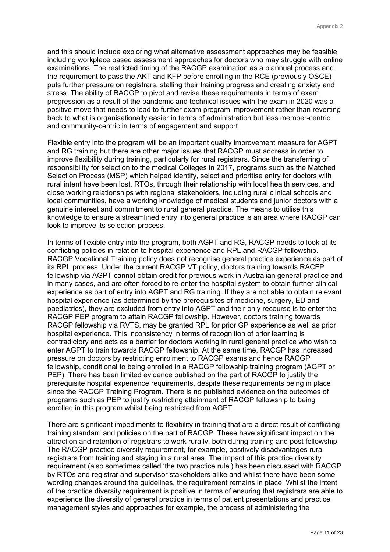and this should include exploring what alternative assessment approaches may be feasible, including workplace based assessment approaches for doctors who may struggle with online examinations. The restricted timing of the RACGP examination as a biannual process and the requirement to pass the AKT and KFP before enrolling in the RCE (previously OSCE) puts further pressure on registrars, stalling their training progress and creating anxiety and stress. The ability of RACGP to pivot and revise these requirements in terms of exam progression as a result of the pandemic and technical issues with the exam in 2020 was a positive move that needs to lead to further exam program improvement rather than reverting back to what is organisationally easier in terms of administration but less member-centric and community-centric in terms of engagement and support.

Flexible entry into the program will be an important quality improvement measure for AGPT and RG training but there are other major issues that RACGP must address in order to improve flexibility during training, particularly for rural registrars. Since the transferring of responsibility for selection to the medical Colleges in 2017, programs such as the Matched Selection Process (MSP) which helped identify, select and prioritise entry for doctors with rural intent have been lost. RTOs, through their relationship with local health services, and close working relationships with regional stakeholders, including rural clinical schools and local communities, have a working knowledge of medical students and junior doctors with a genuine interest and commitment to rural general practice. The means to utilise this knowledge to ensure a streamlined entry into general practice is an area where RACGP can look to improve its selection process.

In terms of flexible entry into the program, both AGPT and RG, RACGP needs to look at its conflicting policies in relation to hospital experience and RPL and RACGP fellowship. RACGP Vocational Training policy does not recognise general practice experience as part of its RPL process. Under the current RACGP VT policy, doctors training towards RACFP fellowship via AGPT cannot obtain credit for previous work in Australian general practice and in many cases, and are often forced to re-enter the hospital system to obtain further clinical experience as part of entry into AGPT and RG training. If they are not able to obtain relevant hospital experience (as determined by the prerequisites of medicine, surgery, ED and paediatrics), they are excluded from entry into AGPT and their only recourse is to enter the RACGP PEP program to attain RACGP fellowship. However, doctors training towards RACGP fellowship via RVTS, may be granted RPL for prior GP experience as well as prior hospital experience. This inconsistency in terms of recognition of prior learning is contradictory and acts as a barrier for doctors working in rural general practice who wish to enter AGPT to train towards RACGP fellowship. At the same time, RACGP has increased pressure on doctors by restricting enrolment to RACGP exams and hence RACGP fellowship, conditional to being enrolled in a RACGP fellowship training program (AGPT or PEP). There has been limited evidence published on the part of RACGP to justify the prerequisite hospital experience requirements, despite these requirements being in place since the RACGP Training Program. There is no published evidence on the outcomes of programs such as PEP to justify restricting attainment of RACGP fellowship to being enrolled in this program whilst being restricted from AGPT.

There are significant impediments to flexibility in training that are a direct result of conflicting training standard and policies on the part of RACGP. These have significant impact on the attraction and retention of registrars to work rurally, both during training and post fellowship. The RACGP practice diversity requirement, for example, positively disadvantages rural registrars from training and staying in a rural area. The impact of this practice diversity requirement (also sometimes called 'the two practice rule') has been discussed with RACGP by RTOs and registrar and supervisor stakeholders alike and whilst there have been some wording changes around the guidelines, the requirement remains in place. Whilst the intent of the practice diversity requirement is positive in terms of ensuring that registrars are able to experience the diversity of general practice in terms of patient presentations and practice management styles and approaches for example, the process of administering the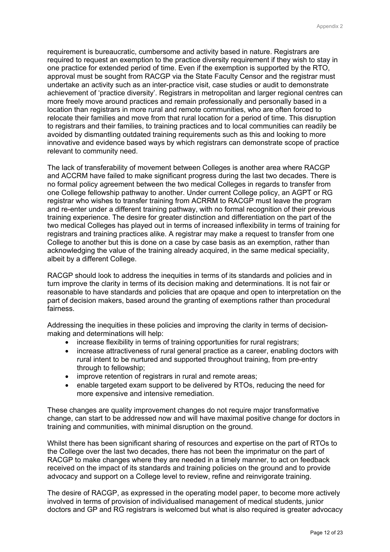requirement is bureaucratic, cumbersome and activity based in nature. Registrars are required to request an exemption to the practice diversity requirement if they wish to stay in one practice for extended period of time. Even if the exemption is supported by the RTO, approval must be sought from RACGP via the State Faculty Censor and the registrar must undertake an activity such as an inter-practice visit, case studies or audit to demonstrate achievement of 'practice diversity'. Registrars in metropolitan and larger regional centres can more freely move around practices and remain professionally and personally based in a location than registrars in more rural and remote communities, who are often forced to relocate their families and move from that rural location for a period of time. This disruption to registrars and their families, to training practices and to local communities can readily be avoided by dismantling outdated training requirements such as this and looking to more innovative and evidence based ways by which registrars can demonstrate scope of practice relevant to community need.

The lack of transferability of movement between Colleges is another area where RACGP and ACCRM have failed to make significant progress during the last two decades. There is no formal policy agreement between the two medical Colleges in regards to transfer from one College fellowship pathway to another. Under current College policy, an AGPT or RG registrar who wishes to transfer training from ACRRM to RACGP must leave the program and re-enter under a different training pathway, with no formal recognition of their previous training experience. The desire for greater distinction and differentiation on the part of the two medical Colleges has played out in terms of increased inflexibility in terms of training for registrars and training practices alike. A registrar may make a request to transfer from one College to another but this is done on a case by case basis as an exemption, rather than acknowledging the value of the training already acquired, in the same medical speciality, albeit by a different College.

RACGP should look to address the inequities in terms of its standards and policies and in turn improve the clarity in terms of its decision making and determinations. It is not fair or reasonable to have standards and policies that are opaque and open to interpretation on the part of decision makers, based around the granting of exemptions rather than procedural fairness.

Addressing the inequities in these policies and improving the clarity in terms of decisionmaking and determinations will help:

- increase flexibility in terms of training opportunities for rural registrars:
- increase attractiveness of rural general practice as a career, enabling doctors with rural intent to be nurtured and supported throughout training, from pre-entry through to fellowship;
- improve retention of registrars in rural and remote areas;
- enable targeted exam support to be delivered by RTOs, reducing the need for more expensive and intensive remediation.

These changes are quality improvement changes do not require major transformative change, can start to be addressed now and will have maximal positive change for doctors in training and communities, with minimal disruption on the ground.

Whilst there has been significant sharing of resources and expertise on the part of RTOs to the College over the last two decades, there has not been the imprimatur on the part of RACGP to make changes where they are needed in a timely manner, to act on feedback received on the impact of its standards and training policies on the ground and to provide advocacy and support on a College level to review, refine and reinvigorate training.

The desire of RACGP, as expressed in the operating model paper, to become more actively involved in terms of provision of individualised management of medical students, junior doctors and GP and RG registrars is welcomed but what is also required is greater advocacy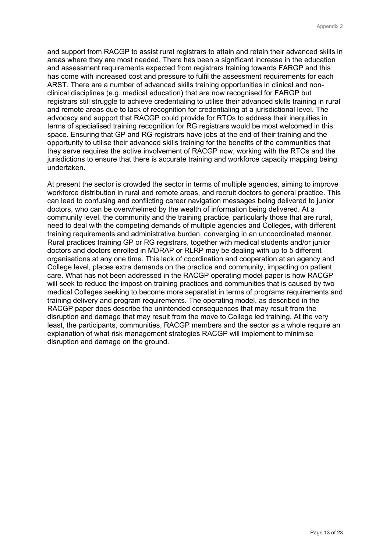and support from RACGP to assist rural registrars to attain and retain their advanced skills in areas where they are most needed. There has been a significant increase in the education and assessment requirements expected from registrars training towards FARGP and this has come with increased cost and pressure to fulfil the assessment requirements for each ARST. There are a number of advanced skills training opportunities in clinical and nonclinical disciplines (e.g. medical education) that are now recognised for FARGP but registrars still struggle to achieve credentialing to utilise their advanced skills training in rural and remote areas due to lack of recognition for credentialing at a jurisdictional level. The advocacy and support that RACGP could provide for RTOs to address their inequities in terms of specialised training recognition for RG registrars would be most welcomed in this space. Ensuring that GP and RG registrars have jobs at the end of their training and the opportunity to utilise their advanced skills training for the benefits of the communities that they serve requires the active involvement of RACGP now, working with the RTOs and the jurisdictions to ensure that there is accurate training and workforce capacity mapping being undertaken.

At present the sector is crowded the sector in terms of multiple agencies, aiming to improve workforce distribution in rural and remote areas, and recruit doctors to general practice. This can lead to confusing and conflicting career navigation messages being delivered to junior doctors, who can be overwhelmed by the wealth of information being delivered. At a community level, the community and the training practice, particularly those that are rural, need to deal with the competing demands of multiple agencies and Colleges, with different training requirements and administrative burden, converging in an uncoordinated manner. Rural practices training GP or RG registrars, together with medical students and/or junior doctors and doctors enrolled in MDRAP or RLRP may be dealing with up to 5 different organisations at any one time. This lack of coordination and cooperation at an agency and College level, places extra demands on the practice and community, impacting on patient care. What has not been addressed in the RACGP operating model paper is how RACGP will seek to reduce the impost on training practices and communities that is caused by two medical Colleges seeking to become more separatist in terms of programs requirements and training delivery and program requirements. The operating model, as described in the RACGP paper does describe the unintended consequences that may result from the disruption and damage that may result from the move to College led training. At the very least, the participants, communities, RACGP members and the sector as a whole require an explanation of what risk management strategies RACGP will implement to minimise disruption and damage on the ground.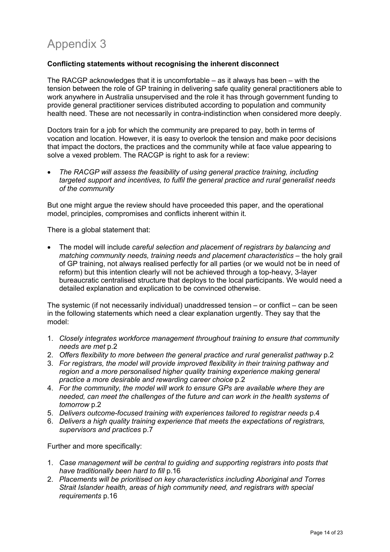# Appendix 3

## **Conflicting statements without recognising the inherent disconnect**

The RACGP acknowledges that it is uncomfortable  $-$  as it always has been  $-$  with the tension between the role of GP training in delivering safe quality general practitioners able to work anywhere in Australia unsupervised and the role it has through government funding to provide general practitioner services distributed according to population and community health need. These are not necessarily in contra-indistinction when considered more deeply.

Doctors train for a job for which the community are prepared to pay, both in terms of vocation and location. However, it is easy to overlook the tension and make poor decisions that impact the doctors, the practices and the community while at face value appearing to solve a vexed problem. The RACGP is right to ask for a review:

• *The RACGP will assess the feasibility of using general practice training, including targeted support and incentives, to fulfil the general practice and rural generalist needs of the community* 

But one might argue the review should have proceeded this paper, and the operational model, principles, compromises and conflicts inherent within it.

There is a global statement that:

• The model will include *careful selection and placement of registrars by balancing and matching community needs, training needs and placement characteristics* – the holy grail of GP training, not always realised perfectly for all parties (or we would not be in need of reform) but this intention clearly will not be achieved through a top-heavy, 3-layer bureaucratic centralised structure that deploys to the local participants. We would need a detailed explanation and explication to be convinced otherwise.

The systemic (if not necessarily individual) unaddressed tension – or conflict – can be seen in the following statements which need a clear explanation urgently. They say that the model:

- 1. *Closely integrates workforce management throughout training to ensure that community needs are met* p.2
- 2. *Offers flexibility to more between the general practice and rural generalist pathway* p.2
- 3. *For registrars, the model will provide improved flexibility in their training pathway and region and a more personalised higher quality training experience making general practice a more desirable and rewarding career choice* p.2
- 4. *For the community, the model will work to ensure GPs are available where they are needed, can meet the challenges of the future and can work in the health systems of tomorrow* p.2
- 5. *Delivers outcome-focused training with experiences tailored to registrar needs* p.4
- 6. *Delivers a high quality training experience that meets the expectations of registrars, supervisors and practices* p.7

Further and more specifically:

- 1. *Case management will be central to guiding and supporting registrars into posts that have traditionally been hard to fill* p.16
- 2. *Placements will be prioritised on key characteristics including Aboriginal and Torres Strait Islander health, areas of high community need, and registrars with special requirements* p.16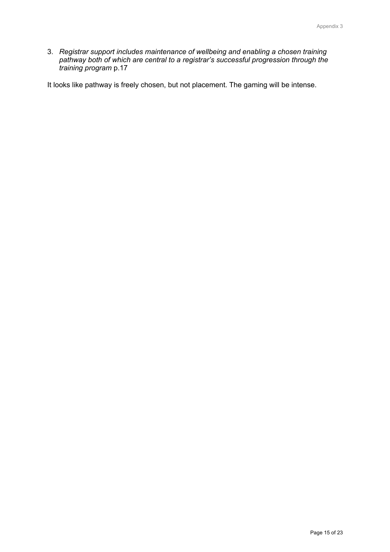3. *Registrar support includes maintenance of wellbeing and enabling a chosen training pathway both of which are central to a registrar's successful progression through the training program* p.17

It looks like pathway is freely chosen, but not placement. The gaming will be intense.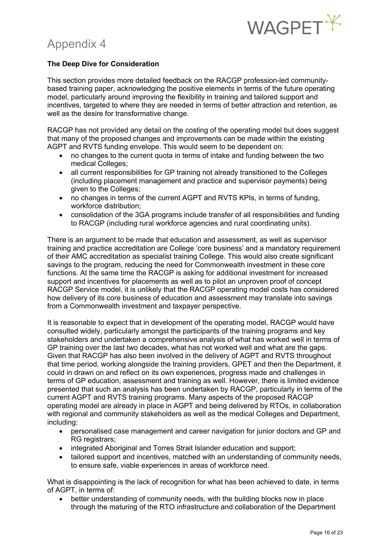

## Appendix 4

## **The Deep Dive for Consideration**

This section provides more detailed feedback on the RACGP profession-led communitybased training paper, acknowledging the positive elements in terms of the future operating model, particularly around improving the flexibility in training and tailored support and incentives, targeted to where they are needed in terms of better attraction and retention, as well as the desire for transformative change.

RACGP has not provided any detail on the costing of the operating model but does suggest that many of the proposed changes and improvements can be made within the existing AGPT and RVTS funding envelope. This would seem to be dependent on:

- no changes to the current quota in terms of intake and funding between the two medical Colleges;
- all current responsibilities for GP training not already transitioned to the Colleges (including placement management and practice and supervisor payments) being given to the Colleges;
- no changes in terms of the current AGPT and RVTS KPIs, in terms of funding, workforce distribution;
- consolidation of the 3GA programs include transfer of all responsibilities and funding to RACGP (including rural workforce agencies and rural coordinating units).

There is an argument to be made that education and assessment, as well as supervisor training and practice accreditation are College 'core business' and a mandatory requirement of their AMC accreditation as specialist training College. This would also create significant savings to the program, reducing the need for Commonwealth investment in these core functions. At the same time the RACGP is asking for additional investment for increased support and incentives for placements as well as to pilot an unproven proof of concept RACGP Service model, it is unlikely that the RACGP operating model costs has considered how delivery of its core business of education and assessment may translate into savings from a Commonwealth investment and taxpayer perspective.

It is reasonable to expect that in development of the operating model, RACGP would have consulted widely, particularly amongst the participants of the training programs and key stakeholders and undertaken a comprehensive analysis of what has worked well in terms of GP training over the last two decades, what has not worked well and what are the gaps. Given that RACGP has also been involved in the delivery of AGPT and RVTS throughout that time period, working alongside the training providers, GPET and then the Department, it could in drawn on and reflect on its own experiences, progress made and challenges in terms of GP education, assessment and training as well. However, there is limited evidence presented that such an analysis has been undertaken by RACGP, particularly in terms of the current AGPT and RVTS training programs. Many aspects of the proposed RACGP operating model are already in place in AGPT and being delivered by RTOs, in collaboration with regional and community stakeholders as well as the medical Colleges and Department, including:

- personalised case management and career navigation for junior doctors and GP and RG registrars;
- integrated Aboriginal and Torres Strait Islander education and support;
- tailored support and incentives, matched with an understanding of community needs, to ensure safe, viable experiences in areas of workforce need.

What is disappointing is the lack of recognition for what has been achieved to date, in terms of AGPT, in terms of:

• better understanding of community needs, with the building blocks now in place through the maturing of the RTO infrastructure and collaboration of the Department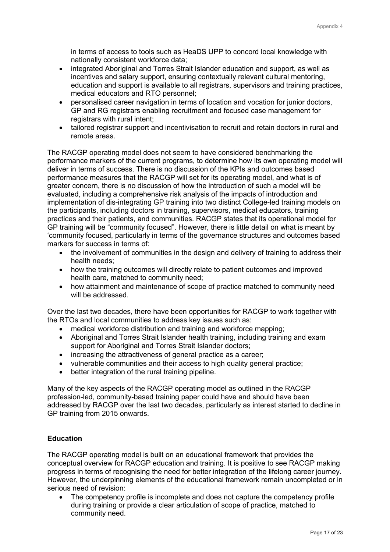in terms of access to tools such as HeaDS UPP to concord local knowledge with nationally consistent workforce data;

- integrated Aboriginal and Torres Strait Islander education and support, as well as incentives and salary support, ensuring contextually relevant cultural mentoring, education and support is available to all registrars, supervisors and training practices, medical educators and RTO personnel;
- personalised career navigation in terms of location and vocation for junior doctors, GP and RG registrars enabling recruitment and focused case management for registrars with rural intent:
- tailored registrar support and incentivisation to recruit and retain doctors in rural and remote areas.

The RACGP operating model does not seem to have considered benchmarking the performance markers of the current programs, to determine how its own operating model will deliver in terms of success. There is no discussion of the KPIs and outcomes based performance measures that the RACGP will set for its operating model, and what is of greater concern, there is no discussion of how the introduction of such a model will be evaluated, including a comprehensive risk analysis of the impacts of introduction and implementation of dis-integrating GP training into two distinct College-led training models on the participants, including doctors in training, supervisors, medical educators, training practices and their patients, and communities. RACGP states that its operational model for GP training will be "community focused". However, there is little detail on what is meant by 'community focused, particularly in terms of the governance structures and outcomes based markers for success in terms of:

- the involvement of communities in the design and delivery of training to address their health needs;
- how the training outcomes will directly relate to patient outcomes and improved health care, matched to community need;
- how attainment and maintenance of scope of practice matched to community need will be addressed.

Over the last two decades, there have been opportunities for RACGP to work together with the RTOs and local communities to address key issues such as:

- medical workforce distribution and training and workforce mapping;
- Aboriginal and Torres Strait Islander health training, including training and exam support for Aboriginal and Torres Strait Islander doctors;
- increasing the attractiveness of general practice as a career;
- vulnerable communities and their access to high quality general practice;
- better integration of the rural training pipeline.

Many of the key aspects of the RACGP operating model as outlined in the RACGP profession-led, community-based training paper could have and should have been addressed by RACGP over the last two decades, particularly as interest started to decline in GP training from 2015 onwards.

## **Education**

The RACGP operating model is built on an educational framework that provides the conceptual overview for RACGP education and training. It is positive to see RACGP making progress in terms of recognising the need for better integration of the lifelong career journey. However, the underpinning elements of the educational framework remain uncompleted or in serious need of revision:

The competency profile is incomplete and does not capture the competency profile during training or provide a clear articulation of scope of practice, matched to community need.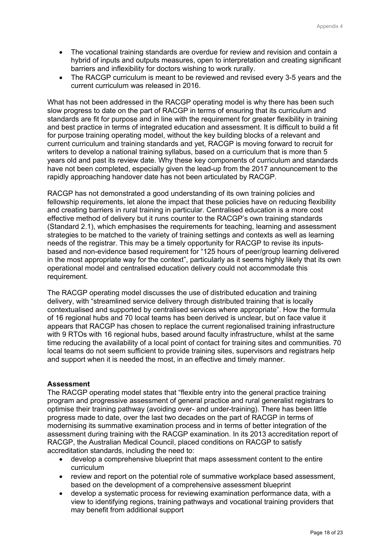- The vocational training standards are overdue for review and revision and contain a hybrid of inputs and outputs measures, open to interpretation and creating significant barriers and inflexibility for doctors wishing to work rurally.
- The RACGP curriculum is meant to be reviewed and revised every 3-5 years and the current curriculum was released in 2016.

What has not been addressed in the RACGP operating model is why there has been such slow progress to date on the part of RACGP in terms of ensuring that its curriculum and standards are fit for purpose and in line with the requirement for greater flexibility in training and best practice in terms of integrated education and assessment. It is difficult to build a fit for purpose training operating model, without the key building blocks of a relevant and current curriculum and training standards and yet, RACGP is moving forward to recruit for writers to develop a national training syllabus, based on a curriculum that is more than 5 years old and past its review date. Why these key components of curriculum and standards have not been completed, especially given the lead-up from the 2017 announcement to the rapidly approaching handover date has not been articulated by RACGP.

RACGP has not demonstrated a good understanding of its own training policies and fellowship requirements, let alone the impact that these policies have on reducing flexibility and creating barriers in rural training in particular. Centralised education is a more cost effective method of delivery but it runs counter to the RACGP's own training standards (Standard 2.1), which emphasises the requirements for teaching, learning and assessment strategies to be matched to the variety of training settings and contexts as well as learning needs of the registrar. This may be a timely opportunity for RACGP to revise its inputsbased and non-evidence based requirement for "125 hours of peer/group learning delivered in the most appropriate way for the context", particularly as it seems highly likely that its own operational model and centralised education delivery could not accommodate this requirement.

The RACGP operating model discusses the use of distributed education and training delivery, with "streamlined service delivery through distributed training that is locally contextualised and supported by centralised services where appropriate". How the formula of 16 regional hubs and 70 local teams has been derived is unclear, but on face value it appears that RACGP has chosen to replace the current regionalised training infrastructure with 9 RTOs with 16 regional hubs, based around faculty infrastructure, whilst at the same time reducing the availability of a local point of contact for training sites and communities. 70 local teams do not seem sufficient to provide training sites, supervisors and registrars help and support when it is needed the most, in an effective and timely manner.

### **Assessment**

The RACGP operating model states that "flexible entry into the general practice training program and progressive assessment of general practice and rural generalist registrars to optimise their training pathway (avoiding over- and under-training). There has been little progress made to date, over the last two decades on the part of RACGP in terms of modernising its summative examination process and in terms of better integration of the assessment during training with the RACGP examination. In its 2013 accreditation report of RACGP, the Australian Medical Council, placed conditions on RACGP to satisfy accreditation standards, including the need to:

- develop a comprehensive blueprint that maps assessment content to the entire curriculum
- review and report on the potential role of summative workplace based assessment, based on the development of a comprehensive assessment blueprint
- develop a systematic process for reviewing examination performance data, with a view to identifying regions, training pathways and vocational training providers that may benefit from additional support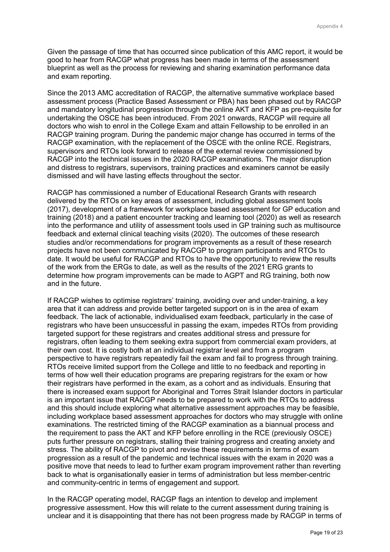Given the passage of time that has occurred since publication of this AMC report, it would be good to hear from RACGP what progress has been made in terms of the assessment blueprint as well as the process for reviewing and sharing examination performance data and exam reporting.

Since the 2013 AMC accreditation of RACGP, the alternative summative workplace based assessment process (Practice Based Assessment or PBA) has been phased out by RACGP and mandatory longitudinal progression through the online AKT and KFP as pre-requisite for undertaking the OSCE has been introduced. From 2021 onwards, RACGP will require all doctors who wish to enrol in the College Exam and attain Fellowship to be enrolled in an RACGP training program. During the pandemic major change has occurred in terms of the RACGP examination, with the replacement of the OSCE with the online RCE. Registrars, supervisors and RTOs look forward to release of the external review commissioned by RACGP into the technical issues in the 2020 RACGP examinations. The major disruption and distress to registrars, supervisors, training practices and examiners cannot be easily dismissed and will have lasting effects throughout the sector.

RACGP has commissioned a number of Educational Research Grants with research delivered by the RTOs on key areas of assessment, including global assessment tools (2017), development of a framework for workplace based assessment for GP education and training (2018) and a patient encounter tracking and learning tool (2020) as well as research into the performance and utility of assessment tools used in GP training such as multisource feedback and external clinical teaching visits (2020). The outcomes of these research studies and/or recommendations for program improvements as a result of these research projects have not been communicated by RACGP to program participants and RTOs to date. It would be useful for RACGP and RTOs to have the opportunity to review the results of the work from the ERGs to date, as well as the results of the 2021 ERG grants to determine how program improvements can be made to AGPT and RG training, both now and in the future.

If RACGP wishes to optimise registrars' training, avoiding over and under-training, a key area that it can address and provide better targeted support on is in the area of exam feedback. The lack of actionable, individualised exam feedback, particularly in the case of registrars who have been unsuccessful in passing the exam, impedes RTOs from providing targeted support for these registrars and creates additional stress and pressure for registrars, often leading to them seeking extra support from commercial exam providers, at their own cost. It is costly both at an individual registrar level and from a program perspective to have registrars repeatedly fail the exam and fail to progress through training. RTOs receive limited support from the College and little to no feedback and reporting in terms of how well their education programs are preparing registrars for the exam or how their registrars have performed in the exam, as a cohort and as individuals. Ensuring that there is increased exam support for Aboriginal and Torres Strait Islander doctors in particular is an important issue that RACGP needs to be prepared to work with the RTOs to address and this should include exploring what alternative assessment approaches may be feasible, including workplace based assessment approaches for doctors who may struggle with online examinations. The restricted timing of the RACGP examination as a biannual process and the requirement to pass the AKT and KFP before enrolling in the RCE (previously OSCE) puts further pressure on registrars, stalling their training progress and creating anxiety and stress. The ability of RACGP to pivot and revise these requirements in terms of exam progression as a result of the pandemic and technical issues with the exam in 2020 was a positive move that needs to lead to further exam program improvement rather than reverting back to what is organisationally easier in terms of administration but less member-centric and community-centric in terms of engagement and support.

In the RACGP operating model, RACGP flags an intention to develop and implement progressive assessment. How this will relate to the current assessment during training is unclear and it is disappointing that there has not been progress made by RACGP in terms of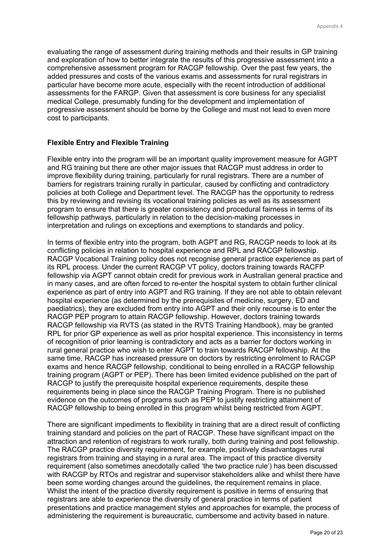evaluating the range of assessment during training methods and their results in GP training and exploration of how to better integrate the results of this progressive assessment into a comprehensive assessment program for RACGP fellowship. Over the past few years, the added pressures and costs of the various exams and assessments for rural registrars in particular have become more acute, especially with the recent introduction of additional assessments for the FARGP. Given that assessment is core business for any specialist medical College, presumably funding for the development and implementation of progressive assessment should be borne by the College and must not lead to even more cost to participants.

### **Flexible Entry and Flexible Training**

Flexible entry into the program will be an important quality improvement measure for AGPT and RG training but there are other major issues that RACGP must address in order to improve flexibility during training, particularly for rural registrars. There are a number of barriers for registrars training rurally in particular, caused by conflicting and contradictory policies at both College and Department level. The RACGP has the opportunity to redress this by reviewing and revising its vocational training policies as well as its assessment program to ensure that there is greater consistency and procedural fairness in terms of its fellowship pathways, particularly in relation to the decision-making processes in interpretation and rulings on exceptions and exemptions to standards and policy.

In terms of flexible entry into the program, both AGPT and RG, RACGP needs to look at its conflicting policies in relation to hospital experience and RPL and RACGP fellowship. RACGP Vocational Training policy does not recognise general practice experience as part of its RPL process. Under the current RACGP VT policy, doctors training towards RACFP fellowship via AGPT cannot obtain credit for previous work in Australian general practice and in many cases, and are often forced to re-enter the hospital system to obtain further clinical experience as part of entry into AGPT and RG training. If they are not able to obtain relevant hospital experience (as determined by the prerequisites of medicine, surgery, ED and paediatrics), they are excluded from entry into AGPT and their only recourse is to enter the RACGP PEP program to attain RACGP fellowship. However, doctors training towards RACGP fellowship via RVTS (as stated in the RVTS Training Handbook), may be granted RPL for prior GP experience as well as prior hospital experience. This inconsistency in terms of recognition of prior learning is contradictory and acts as a barrier for doctors working in rural general practice who wish to enter AGPT to train towards RACGP fellowship. At the same time, RACGP has increased pressure on doctors by restricting enrolment to RACGP exams and hence RACGP fellowship, conditional to being enrolled in a RACGP fellowship training program (AGPT or PEP). There has been limited evidence published on the part of RACGP to justify the prerequisite hospital experience requirements, despite these requirements being in place since the RACGP Training Program. There is no published evidence on the outcomes of programs such as PEP to justify restricting attainment of RACGP fellowship to being enrolled in this program whilst being restricted from AGPT.

There are significant impediments to flexibility in training that are a direct result of conflicting training standard and policies on the part of RACGP. These have significant impact on the attraction and retention of registrars to work rurally, both during training and post fellowship. The RACGP practice diversity requirement, for example, positively disadvantages rural registrars from training and staying in a rural area. The impact of this practice diversity requirement (also sometimes anecdotally called 'the two practice rule') has been discussed with RACGP by RTOs and registrar and supervisor stakeholders alike and whilst there have been some wording changes around the guidelines, the requirement remains in place. Whilst the intent of the practice diversity requirement is positive in terms of ensuring that registrars are able to experience the diversity of general practice in terms of patient presentations and practice management styles and approaches for example, the process of administering the requirement is bureaucratic, cumbersome and activity based in nature.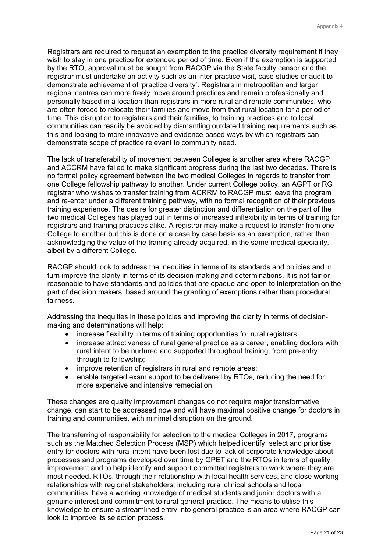Registrars are required to request an exemption to the practice diversity requirement if they wish to stay in one practice for extended period of time. Even if the exemption is supported by the RTO, approval must be sought from RACGP via the State faculty censor and the registrar must undertake an activity such as an inter-practice visit, case studies or audit to demonstrate achievement of 'practice diversity'. Registrars in metropolitan and larger regional centres can more freely move around practices and remain professionally and personally based in a location than registrars in more rural and remote communities, who are often forced to relocate their families and move from that rural location for a period of time. This disruption to registrars and their families, to training practices and to local communities can readily be avoided by dismantling outdated training requirements such as this and looking to more innovative and evidence based ways by which registrars can demonstrate scope of practice relevant to community need.

The lack of transferability of movement between Colleges is another area where RACGP and ACCRM have failed to make significant progress during the last two decades. There is no formal policy agreement between the two medical Colleges in regards to transfer from one College fellowship pathway to another. Under current College policy, an AGPT or RG registrar who wishes to transfer training from ACRRM to RACGP must leave the program and re-enter under a different training pathway, with no formal recognition of their previous training experience. The desire for greater distinction and differentiation on the part of the two medical Colleges has played out in terms of increased inflexibility in terms of training for registrars and training practices alike. A registrar may make a request to transfer from one College to another but this is done on a case by case basis as an exemption, rather than acknowledging the value of the training already acquired, in the same medical speciality, albeit by a different College.

RACGP should look to address the inequities in terms of its standards and policies and in turn improve the clarity in terms of its decision making and determinations. It is not fair or reasonable to have standards and policies that are opaque and open to interpretation on the part of decision makers, based around the granting of exemptions rather than procedural fairness.

Addressing the inequities in these policies and improving the clarity in terms of decisionmaking and determinations will help:

- increase flexibility in terms of training opportunities for rural registrars;
- increase attractiveness of rural general practice as a career, enabling doctors with rural intent to be nurtured and supported throughout training, from pre-entry through to fellowship;
- improve retention of registrars in rural and remote areas;
- enable targeted exam support to be delivered by RTOs, reducing the need for more expensive and intensive remediation.

These changes are quality improvement changes do not require major transformative change, can start to be addressed now and will have maximal positive change for doctors in training and communities, with minimal disruption on the ground.

The transferring of responsibility for selection to the medical Colleges in 2017, programs such as the Matched Selection Process (MSP) which helped identify, select and prioritise entry for doctors with rural intent have been lost due to lack of corporate knowledge about processes and programs developed over time by GPET and the RTOs in terms of quality improvement and to help identify and support committed registrars to work where they are most needed. RTOs, through their relationship with local health services, and close working relationships with regional stakeholders, including rural clinical schools and local communities, have a working knowledge of medical students and junior doctors with a genuine interest and commitment to rural general practice. The means to utilise this knowledge to ensure a streamlined entry into general practice is an area where RACGP can look to improve its selection process.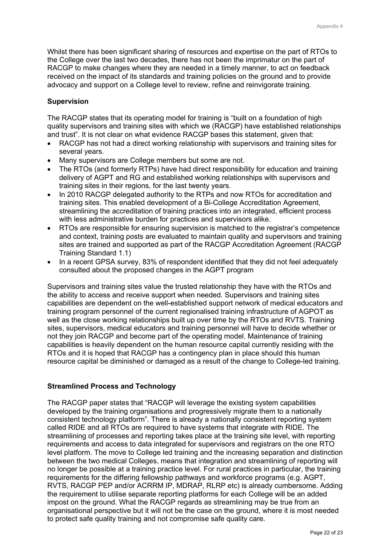Whilst there has been significant sharing of resources and expertise on the part of RTOs to the College over the last two decades, there has not been the imprimatur on the part of RACGP to make changes where they are needed in a timely manner, to act on feedback received on the impact of its standards and training policies on the ground and to provide advocacy and support on a College level to review, refine and reinvigorate training.

### **Supervision**

The RACGP states that its operating model for training is "built on a foundation of high quality supervisors and training sites with which we (RACGP) have established relationships and trust". It is not clear on what evidence RACGP bases this statement, given that:

- RACGP has not had a direct working relationship with supervisors and training sites for several years.
- Many supervisors are College members but some are not.
- The RTOs (and formerly RTPs) have had direct responsibility for education and training delivery of AGPT and RG and established working relationships with supervisors and training sites in their regions, for the last twenty years.
- In 2010 RACGP delegated authority to the RTPs and now RTOs for accreditation and training sites. This enabled development of a Bi-College Accreditation Agreement, streamlining the accreditation of training practices into an integrated, efficient process with less administrative burden for practices and supervisors alike.
- RTOs are responsible for ensuring supervision is matched to the registrar's competence and context, training posts are evaluated to maintain quality and supervisors and training sites are trained and supported as part of the RACGP Accreditation Agreement (RACGP Training Standard 1.1)
- In a recent GPSA survey, 83% of respondent identified that they did not feel adequately consulted about the proposed changes in the AGPT program

Supervisors and training sites value the trusted relationship they have with the RTOs and the ability to access and receive support when needed. Supervisors and training sites capabilities are dependent on the well-established support network of medical educators and training program personnel of the current regionalised training infrastructure of AGPOT as well as the close working relationships built up over time by the RTOs and RVTS. Training sites, supervisors, medical educators and training personnel will have to decide whether or not they join RACGP and become part of the operating model. Maintenance of training capabilities is heavily dependent on the human resource capital currently residing with the RTOs and it is hoped that RACGP has a contingency plan in place should this human resource capital be diminished or damaged as a result of the change to College-led training.

### **Streamlined Process and Technology**

The RACGP paper states that "RACGP will leverage the existing system capabilities developed by the training organisations and progressively migrate them to a nationally consistent technology platform". There is already a nationally consistent reporting system called RIDE and all RTOs are required to have systems that integrate with RIDE. The streamlining of processes and reporting takes place at the training site level, with reporting requirements and access to data integrated for supervisors and registrars on the one RTO level platform. The move to College led training and the increasing separation and distinction between the two medical Colleges, means that integration and streamlining of reporting will no longer be possible at a training practice level. For rural practices in particular, the training requirements for the differing fellowship pathways and workforce programs (e.g. AGPT, RVTS, RACGP PEP and/or ACRRM IP, MDRAP, RLRP etc) is already cumbersome. Adding the requirement to utilise separate reporting platforms for each College will be an added impost on the ground. What the RACGP regards as streamlining may be true from an organisational perspective but it will not be the case on the ground, where it is most needed to protect safe quality training and not compromise safe quality care.